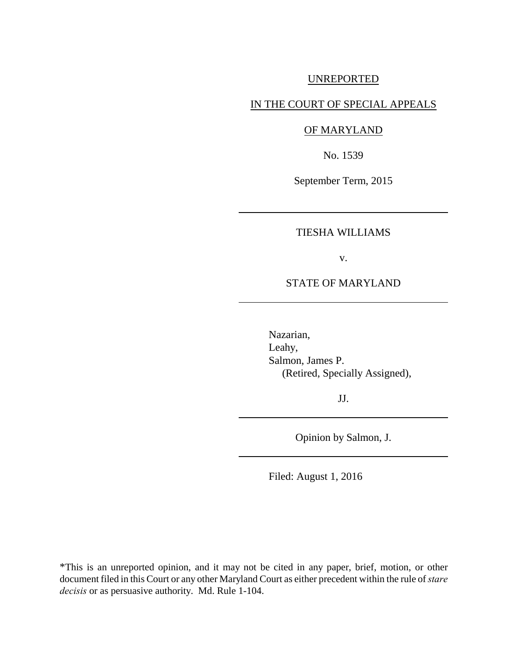## UNREPORTED

# IN THE COURT OF SPECIAL APPEALS

## OF MARYLAND

No. 1539

September Term, 2015

## TIESHA WILLIAMS

v.

## STATE OF MARYLAND

Nazarian, Leahy, Salmon, James P. (Retired, Specially Assigned),

JJ.

Opinion by Salmon, J.

Filed: August 1, 2016

\*This is an unreported opinion, and it may not be cited in any paper, brief, motion, or other document filed in this Court or any other Maryland Court as either precedent within the rule of *stare decisis* or as persuasive authority. Md. Rule 1-104.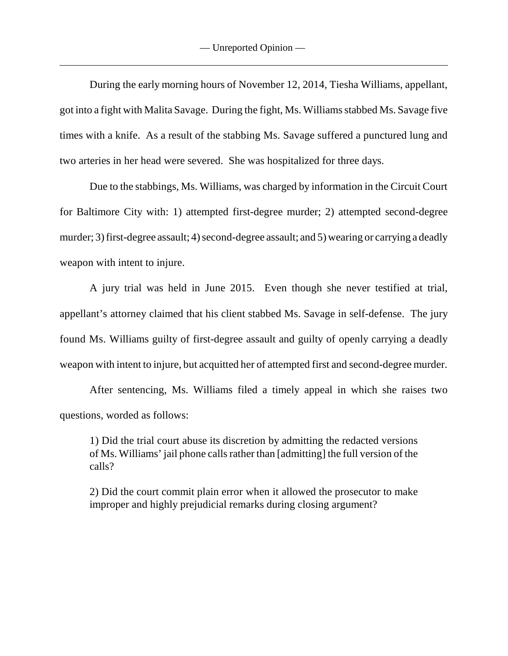During the early morning hours of November 12, 2014, Tiesha Williams, appellant, got into a fight with Malita Savage. During the fight, Ms. Williams stabbed Ms. Savage five times with a knife. As a result of the stabbing Ms. Savage suffered a punctured lung and two arteries in her head were severed. She was hospitalized for three days.

Due to the stabbings, Ms. Williams, was charged by information in the Circuit Court for Baltimore City with: 1) attempted first-degree murder; 2) attempted second-degree murder; 3) first-degree assault; 4) second-degree assault; and 5) wearing or carrying a deadly weapon with intent to injure.

A jury trial was held in June 2015. Even though she never testified at trial, appellant's attorney claimed that his client stabbed Ms. Savage in self-defense. The jury found Ms. Williams guilty of first-degree assault and guilty of openly carrying a deadly weapon with intent to injure, but acquitted her of attempted first and second-degree murder.

After sentencing, Ms. Williams filed a timely appeal in which she raises two questions, worded as follows:

1) Did the trial court abuse its discretion by admitting the redacted versions of Ms. Williams' jail phone calls rather than [admitting] the full version of the calls?

2) Did the court commit plain error when it allowed the prosecutor to make improper and highly prejudicial remarks during closing argument?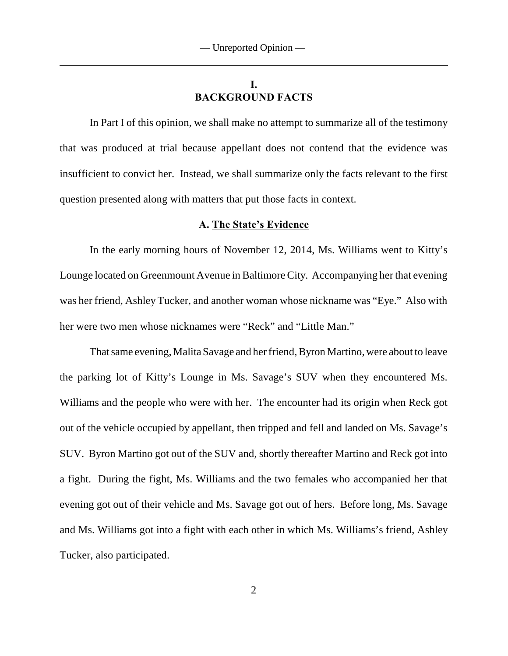# **I. BACKGROUND FACTS**

In Part I of this opinion, we shall make no attempt to summarize all of the testimony that was produced at trial because appellant does not contend that the evidence was insufficient to convict her. Instead, we shall summarize only the facts relevant to the first question presented along with matters that put those facts in context.

## **A. The State's Evidence**

In the early morning hours of November 12, 2014, Ms. Williams went to Kitty's Lounge located on Greenmount Avenue in Baltimore City. Accompanying her that evening was her friend, Ashley Tucker, and another woman whose nickname was "Eye." Also with her were two men whose nicknames were "Reck" and "Little Man."

That same evening, Malita Savage and her friend, Byron Martino, were about to leave the parking lot of Kitty's Lounge in Ms. Savage's SUV when they encountered Ms. Williams and the people who were with her. The encounter had its origin when Reck got out of the vehicle occupied by appellant, then tripped and fell and landed on Ms. Savage's SUV. Byron Martino got out of the SUV and, shortly thereafter Martino and Reck got into a fight. During the fight, Ms. Williams and the two females who accompanied her that evening got out of their vehicle and Ms. Savage got out of hers. Before long, Ms. Savage and Ms. Williams got into a fight with each other in which Ms. Williams's friend, Ashley Tucker, also participated.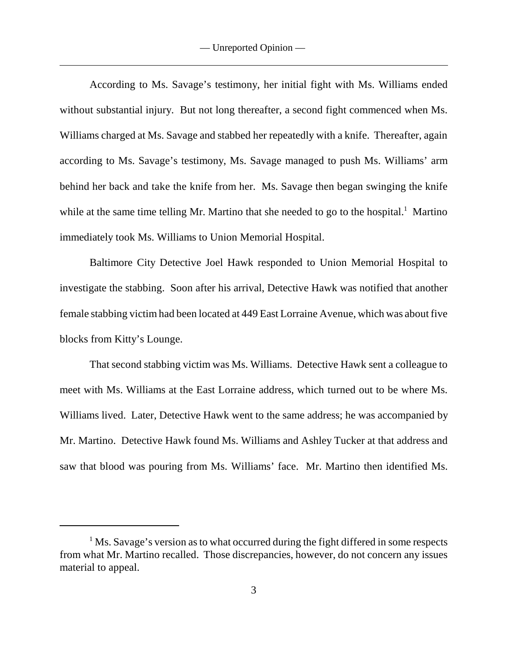According to Ms. Savage's testimony, her initial fight with Ms. Williams ended without substantial injury. But not long thereafter, a second fight commenced when Ms. Williams charged at Ms. Savage and stabbed her repeatedly with a knife. Thereafter, again according to Ms. Savage's testimony, Ms. Savage managed to push Ms. Williams' arm behind her back and take the knife from her. Ms. Savage then began swinging the knife while at the same time telling Mr. Martino that she needed to go to the hospital.<sup>1</sup> Martino immediately took Ms. Williams to Union Memorial Hospital.

Baltimore City Detective Joel Hawk responded to Union Memorial Hospital to investigate the stabbing. Soon after his arrival, Detective Hawk was notified that another female stabbing victim had been located at 449 East Lorraine Avenue, which was about five blocks from Kitty's Lounge.

That second stabbing victim was Ms. Williams. Detective Hawk sent a colleague to meet with Ms. Williams at the East Lorraine address, which turned out to be where Ms. Williams lived. Later, Detective Hawk went to the same address; he was accompanied by Mr. Martino. Detective Hawk found Ms. Williams and Ashley Tucker at that address and saw that blood was pouring from Ms. Williams' face. Mr. Martino then identified Ms.

 $<sup>1</sup>$  Ms. Savage's version as to what occurred during the fight differed in some respects</sup> from what Mr. Martino recalled. Those discrepancies, however, do not concern any issues material to appeal.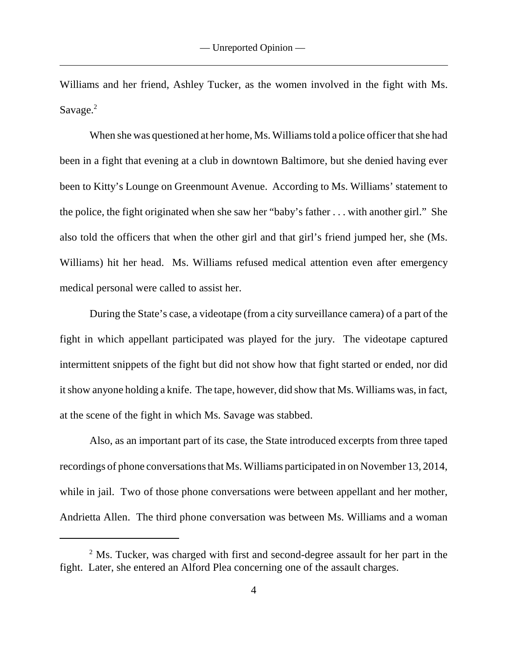Williams and her friend, Ashley Tucker, as the women involved in the fight with Ms. Savage. $2$ 

When she was questioned at her home, Ms. Williams told a police officer that she had been in a fight that evening at a club in downtown Baltimore, but she denied having ever been to Kitty's Lounge on Greenmount Avenue. According to Ms. Williams' statement to the police, the fight originated when she saw her "baby's father . . . with another girl." She also told the officers that when the other girl and that girl's friend jumped her, she (Ms. Williams) hit her head. Ms. Williams refused medical attention even after emergency medical personal were called to assist her.

During the State's case, a videotape (from a city surveillance camera) of a part of the fight in which appellant participated was played for the jury. The videotape captured intermittent snippets of the fight but did not show how that fight started or ended, nor did it show anyone holding a knife. The tape, however, did show that Ms. Williams was, in fact, at the scene of the fight in which Ms. Savage was stabbed.

Also, as an important part of its case, the State introduced excerpts from three taped recordings of phone conversations that Ms. Williams participated in on November 13, 2014, while in jail. Two of those phone conversations were between appellant and her mother, Andrietta Allen. The third phone conversation was between Ms. Williams and a woman

 $<sup>2</sup>$  Ms. Tucker, was charged with first and second-degree assault for her part in the</sup> fight. Later, she entered an Alford Plea concerning one of the assault charges.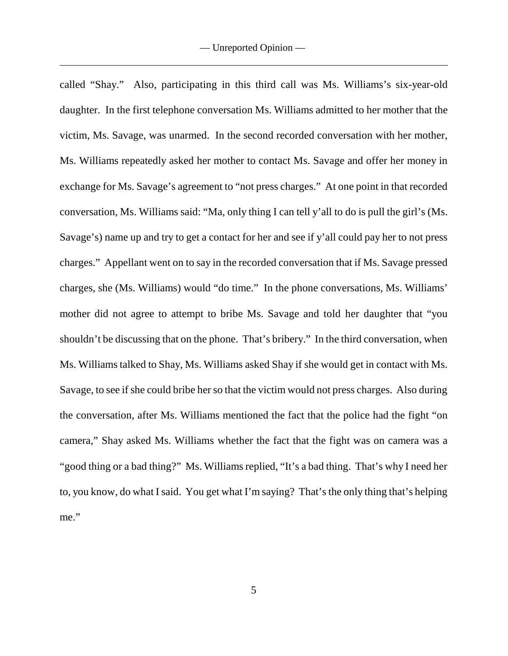called "Shay." Also, participating in this third call was Ms. Williams's six-year-old daughter. In the first telephone conversation Ms. Williams admitted to her mother that the victim, Ms. Savage, was unarmed. In the second recorded conversation with her mother, Ms. Williams repeatedly asked her mother to contact Ms. Savage and offer her money in exchange for Ms. Savage's agreement to "not press charges." At one point in that recorded conversation, Ms. Williams said: "Ma, only thing I can tell y'all to do is pull the girl's (Ms. Savage's) name up and try to get a contact for her and see if y'all could pay her to not press charges." Appellant went on to say in the recorded conversation that if Ms. Savage pressed charges, she (Ms. Williams) would "do time." In the phone conversations, Ms. Williams' mother did not agree to attempt to bribe Ms. Savage and told her daughter that "you shouldn't be discussing that on the phone. That's bribery." In the third conversation, when Ms. Williams talked to Shay, Ms. Williams asked Shay if she would get in contact with Ms. Savage, to see if she could bribe her so that the victim would not press charges. Also during the conversation, after Ms. Williams mentioned the fact that the police had the fight "on camera," Shay asked Ms. Williams whether the fact that the fight was on camera was a "good thing or a bad thing?" Ms. Williams replied, "It's a bad thing. That's why I need her to, you know, do what I said. You get what I'm saying? That's the only thing that's helping me."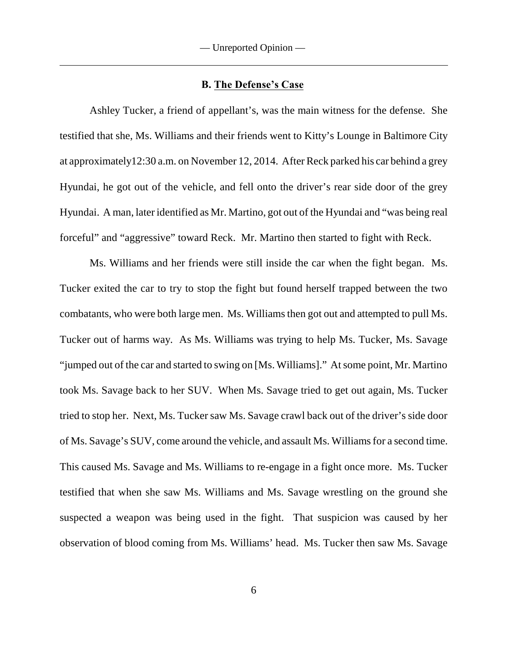#### **B. The Defense's Case**

Ashley Tucker, a friend of appellant's, was the main witness for the defense. She testified that she, Ms. Williams and their friends went to Kitty's Lounge in Baltimore City at approximately12:30 a.m. on November 12, 2014. After Reck parked his car behind a grey Hyundai, he got out of the vehicle, and fell onto the driver's rear side door of the grey Hyundai. A man, later identified as Mr. Martino, got out of the Hyundai and "was being real forceful" and "aggressive" toward Reck. Mr. Martino then started to fight with Reck.

Ms. Williams and her friends were still inside the car when the fight began. Ms. Tucker exited the car to try to stop the fight but found herself trapped between the two combatants, who were both large men. Ms. Williams then got out and attempted to pull Ms. Tucker out of harms way. As Ms. Williams was trying to help Ms. Tucker, Ms. Savage "jumped out of the car and started to swing on [Ms. Williams]." At some point, Mr. Martino took Ms. Savage back to her SUV. When Ms. Savage tried to get out again, Ms. Tucker tried to stop her. Next, Ms. Tucker saw Ms. Savage crawl back out of the driver's side door of Ms. Savage's SUV, come around the vehicle, and assault Ms. Williams for a second time. This caused Ms. Savage and Ms. Williams to re-engage in a fight once more. Ms. Tucker testified that when she saw Ms. Williams and Ms. Savage wrestling on the ground she suspected a weapon was being used in the fight. That suspicion was caused by her observation of blood coming from Ms. Williams' head. Ms. Tucker then saw Ms. Savage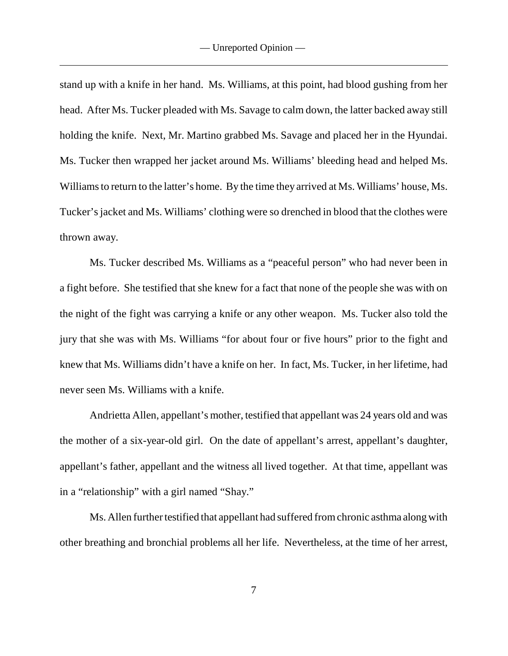stand up with a knife in her hand. Ms. Williams, at this point, had blood gushing from her head. After Ms. Tucker pleaded with Ms. Savage to calm down, the latter backed away still holding the knife. Next, Mr. Martino grabbed Ms. Savage and placed her in the Hyundai. Ms. Tucker then wrapped her jacket around Ms. Williams' bleeding head and helped Ms. Williams to return to the latter's home. By the time they arrived at Ms. Williams' house, Ms. Tucker's jacket and Ms. Williams' clothing were so drenched in blood that the clothes were thrown away.

Ms. Tucker described Ms. Williams as a "peaceful person" who had never been in a fight before. She testified that she knew for a fact that none of the people she was with on the night of the fight was carrying a knife or any other weapon. Ms. Tucker also told the jury that she was with Ms. Williams "for about four or five hours" prior to the fight and knew that Ms. Williams didn't have a knife on her. In fact, Ms. Tucker, in her lifetime, had never seen Ms. Williams with a knife.

Andrietta Allen, appellant's mother, testified that appellant was 24 years old and was the mother of a six-year-old girl. On the date of appellant's arrest, appellant's daughter, appellant's father, appellant and the witness all lived together. At that time, appellant was in a "relationship" with a girl named "Shay."

Ms. Allen further testified that appellant had suffered from chronic asthma along with other breathing and bronchial problems all her life. Nevertheless, at the time of her arrest,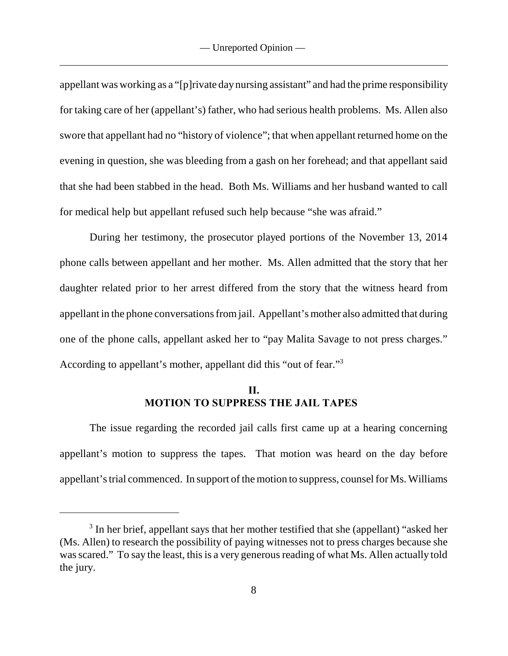appellant was working as a "[p]rivate day nursing assistant" and had the prime responsibility for taking care of her (appellant's) father, who had serious health problems. Ms. Allen also swore that appellant had no "history of violence"; that when appellant returned home on the evening in question, she was bleeding from a gash on her forehead; and that appellant said that she had been stabbed in the head. Both Ms. Williams and her husband wanted to call for medical help but appellant refused such help because "she was afraid."

During her testimony, the prosecutor played portions of the November 13, 2014 phone calls between appellant and her mother. Ms. Allen admitted that the story that her daughter related prior to her arrest differed from the story that the witness heard from appellant in the phone conversations from jail. Appellant's mother also admitted that during one of the phone calls, appellant asked her to "pay Malita Savage to not press charges." According to appellant's mother, appellant did this "out of fear."<sup>3</sup>

## **II. MOTION TO SUPPRESS THE JAIL TAPES**

The issue regarding the recorded jail calls first came up at a hearing concerning appellant's motion to suppress the tapes. That motion was heard on the day before appellant's trial commenced. In support of the motion to suppress, counsel for Ms. Williams

 $3$  In her brief, appellant says that her mother testified that she (appellant) "asked her (Ms. Allen) to research the possibility of paying witnesses not to press charges because she was scared." To say the least, this is a very generous reading of what Ms. Allen actually told the jury.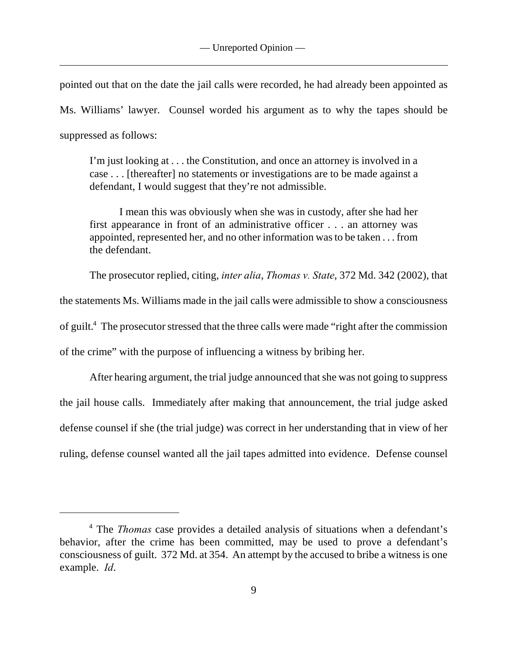pointed out that on the date the jail calls were recorded, he had already been appointed as Ms. Williams' lawyer. Counsel worded his argument as to why the tapes should be suppressed as follows:

I'm just looking at . . . the Constitution, and once an attorney is involved in a case . . . [thereafter] no statements or investigations are to be made against a defendant, I would suggest that they're not admissible.

I mean this was obviously when she was in custody, after she had her first appearance in front of an administrative officer . . . an attorney was appointed, represented her, and no other information was to be taken . . . from the defendant.

The prosecutor replied, citing, *inter alia*, *Thomas v. State*, 372 Md. 342 (2002), that the statements Ms. Williams made in the jail calls were admissible to show a consciousness of guilt.<sup>4</sup> The prosecutor stressed that the three calls were made "right after the commission" of the crime" with the purpose of influencing a witness by bribing her.

After hearing argument, the trial judge announced that she was not going to suppress the jail house calls. Immediately after making that announcement, the trial judge asked defense counsel if she (the trial judge) was correct in her understanding that in view of her ruling, defense counsel wanted all the jail tapes admitted into evidence. Defense counsel

<sup>&</sup>lt;sup>4</sup> The *Thomas* case provides a detailed analysis of situations when a defendant's behavior, after the crime has been committed, may be used to prove a defendant's consciousness of guilt. 372 Md. at 354. An attempt by the accused to bribe a witness is one example. *Id*.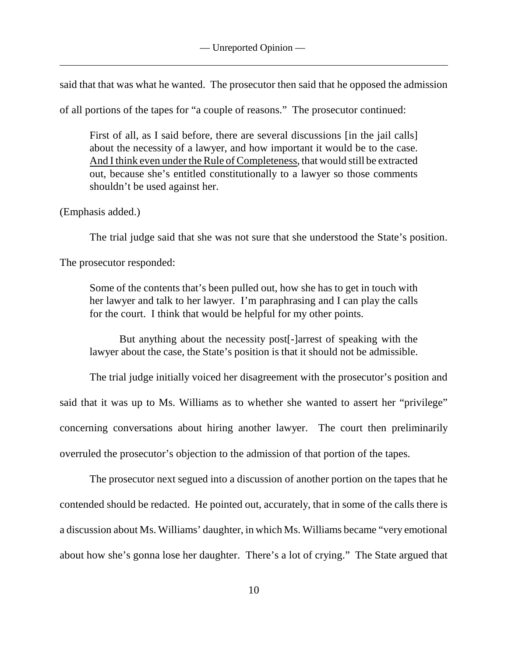said that that was what he wanted. The prosecutor then said that he opposed the admission

of all portions of the tapes for "a couple of reasons." The prosecutor continued:

First of all, as I said before, there are several discussions [in the jail calls] about the necessity of a lawyer, and how important it would be to the case. And I think even under the Rule of Completeness, that would still be extracted out, because she's entitled constitutionally to a lawyer so those comments shouldn't be used against her.

(Emphasis added.)

The trial judge said that she was not sure that she understood the State's position.

The prosecutor responded:

Some of the contents that's been pulled out, how she has to get in touch with her lawyer and talk to her lawyer. I'm paraphrasing and I can play the calls for the court. I think that would be helpful for my other points.

But anything about the necessity post[-]arrest of speaking with the lawyer about the case, the State's position is that it should not be admissible.

The trial judge initially voiced her disagreement with the prosecutor's position and said that it was up to Ms. Williams as to whether she wanted to assert her "privilege" concerning conversations about hiring another lawyer. The court then preliminarily overruled the prosecutor's objection to the admission of that portion of the tapes.

The prosecutor next segued into a discussion of another portion on the tapes that he contended should be redacted. He pointed out, accurately, that in some of the calls there is a discussion about Ms. Williams' daughter, in which Ms. Williams became "very emotional about how she's gonna lose her daughter. There's a lot of crying." The State argued that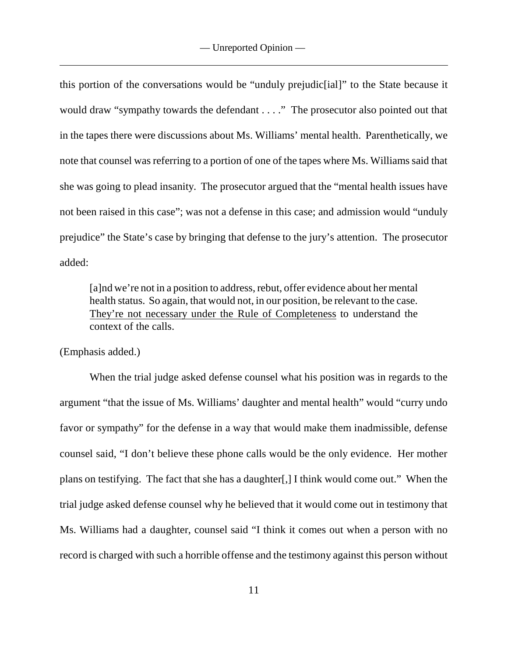this portion of the conversations would be "unduly prejudic[ial]" to the State because it would draw "sympathy towards the defendant . . . ." The prosecutor also pointed out that in the tapes there were discussions about Ms. Williams' mental health. Parenthetically, we note that counsel was referring to a portion of one of the tapes where Ms. Williams said that she was going to plead insanity. The prosecutor argued that the "mental health issues have not been raised in this case"; was not a defense in this case; and admission would "unduly prejudice" the State's case by bringing that defense to the jury's attention. The prosecutor added:

[a]nd we're not in a position to address, rebut, offer evidence about her mental health status. So again, that would not, in our position, be relevant to the case. They're not necessary under the Rule of Completeness to understand the context of the calls.

(Emphasis added.)

When the trial judge asked defense counsel what his position was in regards to the argument "that the issue of Ms. Williams' daughter and mental health" would "curry undo favor or sympathy" for the defense in a way that would make them inadmissible, defense counsel said, "I don't believe these phone calls would be the only evidence. Her mother plans on testifying. The fact that she has a daughter[,] I think would come out." When the trial judge asked defense counsel why he believed that it would come out in testimony that Ms. Williams had a daughter, counsel said "I think it comes out when a person with no record is charged with such a horrible offense and the testimony against this person without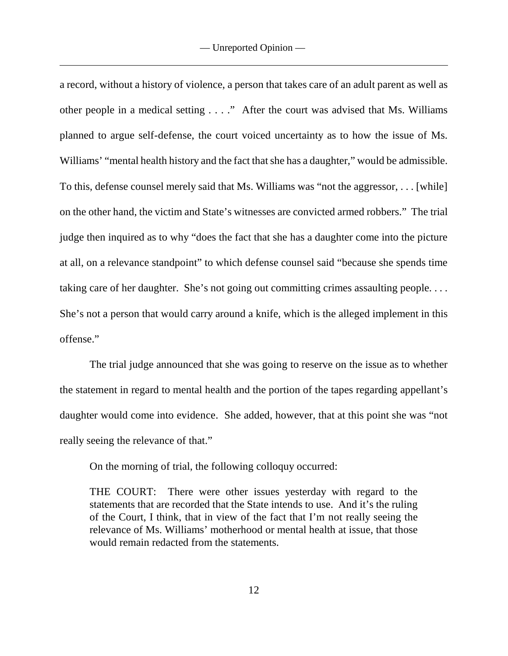a record, without a history of violence, a person that takes care of an adult parent as well as other people in a medical setting . . . ." After the court was advised that Ms. Williams planned to argue self-defense, the court voiced uncertainty as to how the issue of Ms. Williams' "mental health history and the fact that she has a daughter," would be admissible. To this, defense counsel merely said that Ms. Williams was "not the aggressor, . . . [while] on the other hand, the victim and State's witnesses are convicted armed robbers." The trial judge then inquired as to why "does the fact that she has a daughter come into the picture at all, on a relevance standpoint" to which defense counsel said "because she spends time taking care of her daughter. She's not going out committing crimes assaulting people.... She's not a person that would carry around a knife, which is the alleged implement in this offense."

The trial judge announced that she was going to reserve on the issue as to whether the statement in regard to mental health and the portion of the tapes regarding appellant's daughter would come into evidence. She added, however, that at this point she was "not really seeing the relevance of that."

On the morning of trial, the following colloquy occurred:

THE COURT: There were other issues yesterday with regard to the statements that are recorded that the State intends to use. And it's the ruling of the Court, I think, that in view of the fact that I'm not really seeing the relevance of Ms. Williams' motherhood or mental health at issue, that those would remain redacted from the statements.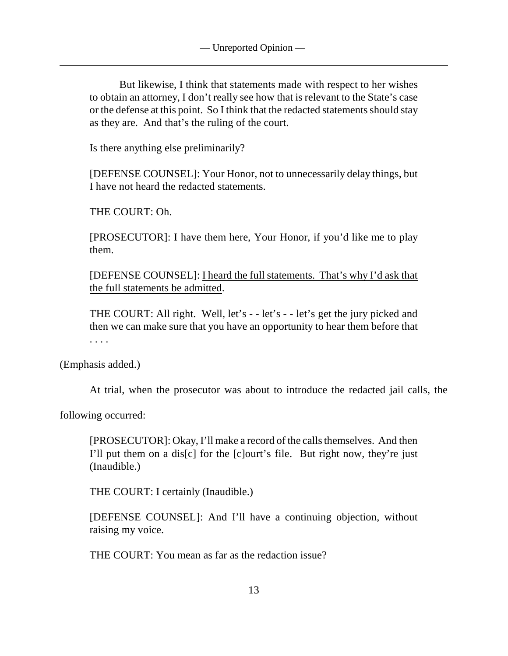But likewise, I think that statements made with respect to her wishes to obtain an attorney, I don't really see how that is relevant to the State's case or the defense at this point. So I think that the redacted statements should stay as they are. And that's the ruling of the court.

Is there anything else preliminarily?

[DEFENSE COUNSEL]: Your Honor, not to unnecessarily delay things, but I have not heard the redacted statements.

THE COURT: Oh.

[PROSECUTOR]: I have them here, Your Honor, if you'd like me to play them.

[DEFENSE COUNSEL]: I heard the full statements. That's why I'd ask that the full statements be admitted.

THE COURT: All right. Well, let's - - let's - - let's get the jury picked and then we can make sure that you have an opportunity to hear them before that . . . .

(Emphasis added.)

At trial, when the prosecutor was about to introduce the redacted jail calls, the

following occurred:

[PROSECUTOR]: Okay, I'll make a record of the calls themselves. And then I'll put them on a dis[c] for the [c]ourt's file. But right now, they're just (Inaudible.)

THE COURT: I certainly (Inaudible.)

[DEFENSE COUNSEL]: And I'll have a continuing objection, without raising my voice.

THE COURT: You mean as far as the redaction issue?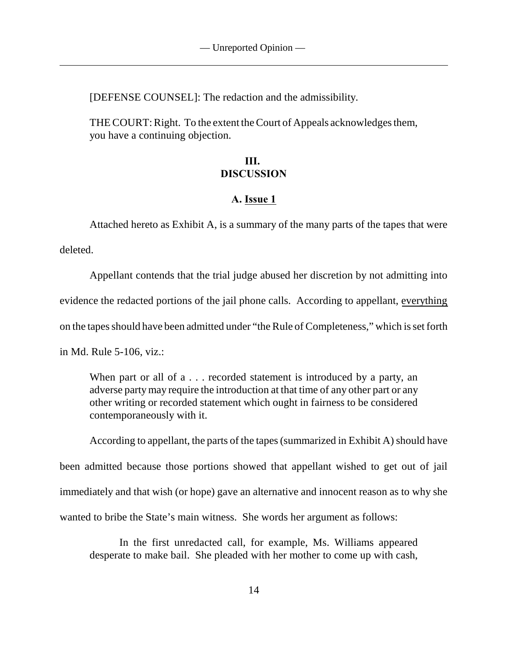[DEFENSE COUNSEL]: The redaction and the admissibility.

THE COURT: Right. To the extent the Court of Appeals acknowledges them, you have a continuing objection.

# **III. DISCUSSION**

#### **A. Issue 1**

Attached hereto as Exhibit A, is a summary of the many parts of the tapes that were deleted.

Appellant contends that the trial judge abused her discretion by not admitting into evidence the redacted portions of the jail phone calls. According to appellant, everything on the tapes should have been admitted under "the Rule of Completeness," which is set forth

in Md. Rule 5-106, viz.:

When part or all of a . . . recorded statement is introduced by a party, an adverse party may require the introduction at that time of any other part or any other writing or recorded statement which ought in fairness to be considered contemporaneously with it.

According to appellant, the parts of the tapes (summarized in Exhibit A) should have been admitted because those portions showed that appellant wished to get out of jail immediately and that wish (or hope) gave an alternative and innocent reason as to why she wanted to bribe the State's main witness. She words her argument as follows:

In the first unredacted call, for example, Ms. Williams appeared desperate to make bail. She pleaded with her mother to come up with cash,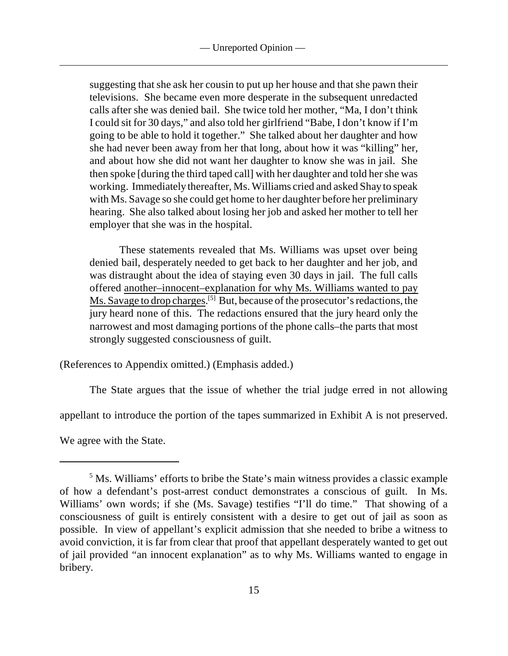suggesting that she ask her cousin to put up her house and that she pawn their televisions. She became even more desperate in the subsequent unredacted calls after she was denied bail. She twice told her mother, "Ma, I don't think I could sit for 30 days," and also told her girlfriend "Babe, I don't know if I'm going to be able to hold it together." She talked about her daughter and how she had never been away from her that long, about how it was "killing" her, and about how she did not want her daughter to know she was in jail. She then spoke [during the third taped call] with her daughter and told her she was working. Immediately thereafter, Ms. Williams cried and asked Shay to speak with Ms. Savage so she could get home to her daughter before her preliminary hearing. She also talked about losing her job and asked her mother to tell her employer that she was in the hospital.

These statements revealed that Ms. Williams was upset over being denied bail, desperately needed to get back to her daughter and her job, and was distraught about the idea of staying even 30 days in jail. The full calls offered another–innocent–explanation for why Ms. Williams wanted to pay Ms. Savage to drop charges.  $[5]$  But, because of the prosecutor's redactions, the jury heard none of this. The redactions ensured that the jury heard only the narrowest and most damaging portions of the phone calls–the parts that most strongly suggested consciousness of guilt.

(References to Appendix omitted.) (Emphasis added.)

The State argues that the issue of whether the trial judge erred in not allowing

appellant to introduce the portion of the tapes summarized in Exhibit A is not preserved.

We agree with the State.

<sup>&</sup>lt;sup>5</sup> Ms. Williams' efforts to bribe the State's main witness provides a classic example of how a defendant's post-arrest conduct demonstrates a conscious of guilt. In Ms. Williams' own words; if she (Ms. Savage) testifies "I'll do time." That showing of a consciousness of guilt is entirely consistent with a desire to get out of jail as soon as possible. In view of appellant's explicit admission that she needed to bribe a witness to avoid conviction, it is far from clear that proof that appellant desperately wanted to get out of jail provided "an innocent explanation" as to why Ms. Williams wanted to engage in bribery.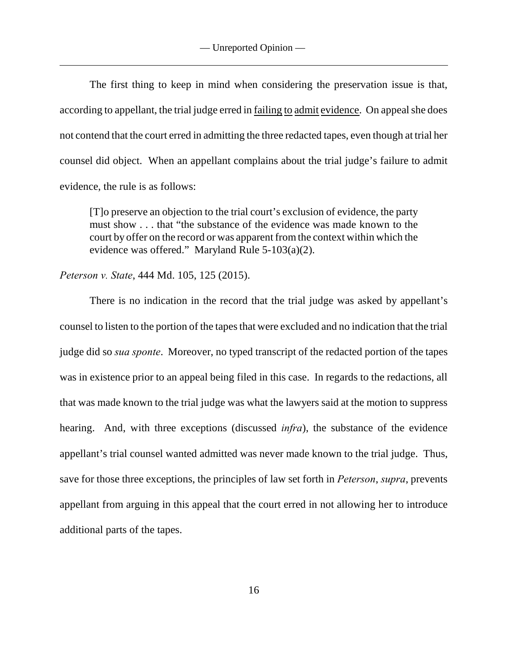The first thing to keep in mind when considering the preservation issue is that, according to appellant, the trial judge erred in failing to admit evidence. On appeal she does not contend that the court erred in admitting the three redacted tapes, even though at trial her counsel did object. When an appellant complains about the trial judge's failure to admit evidence, the rule is as follows:

[T]o preserve an objection to the trial court's exclusion of evidence, the party must show . . . that "the substance of the evidence was made known to the court by offer on the record or was apparent from the context within which the evidence was offered." Maryland Rule 5-103(a)(2).

*Peterson v. State*, 444 Md. 105, 125 (2015).

There is no indication in the record that the trial judge was asked by appellant's counsel to listen to the portion of the tapes that were excluded and no indication that the trial judge did so *sua sponte*. Moreover, no typed transcript of the redacted portion of the tapes was in existence prior to an appeal being filed in this case. In regards to the redactions, all that was made known to the trial judge was what the lawyers said at the motion to suppress hearing. And, with three exceptions (discussed *infra*), the substance of the evidence appellant's trial counsel wanted admitted was never made known to the trial judge. Thus, save for those three exceptions, the principles of law set forth in *Peterson*, *supra*, prevents appellant from arguing in this appeal that the court erred in not allowing her to introduce additional parts of the tapes.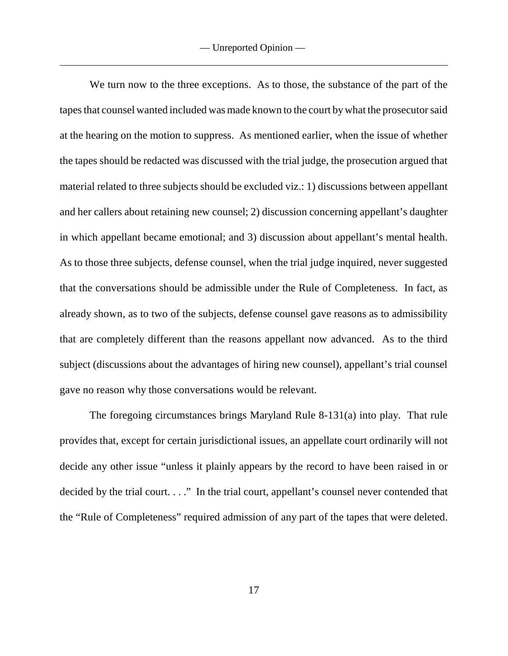We turn now to the three exceptions. As to those, the substance of the part of the tapes that counsel wanted included was made known to the court by what the prosecutor said at the hearing on the motion to suppress. As mentioned earlier, when the issue of whether the tapes should be redacted was discussed with the trial judge, the prosecution argued that material related to three subjects should be excluded viz.: 1) discussions between appellant and her callers about retaining new counsel; 2) discussion concerning appellant's daughter in which appellant became emotional; and 3) discussion about appellant's mental health. As to those three subjects, defense counsel, when the trial judge inquired, never suggested that the conversations should be admissible under the Rule of Completeness. In fact, as already shown, as to two of the subjects, defense counsel gave reasons as to admissibility that are completely different than the reasons appellant now advanced. As to the third subject (discussions about the advantages of hiring new counsel), appellant's trial counsel gave no reason why those conversations would be relevant.

The foregoing circumstances brings Maryland Rule 8-131(a) into play. That rule provides that, except for certain jurisdictional issues, an appellate court ordinarily will not decide any other issue "unless it plainly appears by the record to have been raised in or decided by the trial court. . . ." In the trial court, appellant's counsel never contended that the "Rule of Completeness" required admission of any part of the tapes that were deleted.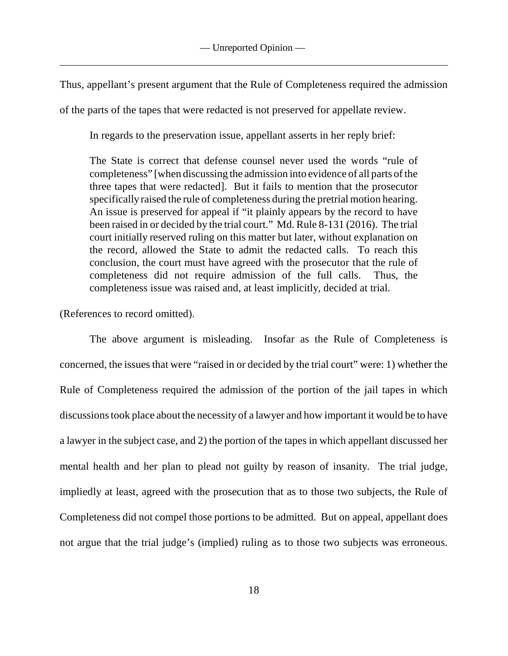Thus, appellant's present argument that the Rule of Completeness required the admission

of the parts of the tapes that were redacted is not preserved for appellate review.

In regards to the preservation issue, appellant asserts in her reply brief:

The State is correct that defense counsel never used the words "rule of completeness" [when discussing the admission into evidence of all parts of the three tapes that were redacted]. But it fails to mention that the prosecutor specifically raised the rule of completeness during the pretrial motion hearing. An issue is preserved for appeal if "it plainly appears by the record to have been raised in or decided by the trial court." Md. Rule 8-131 (2016). The trial court initially reserved ruling on this matter but later, without explanation on the record, allowed the State to admit the redacted calls. To reach this conclusion, the court must have agreed with the prosecutor that the rule of completeness did not require admission of the full calls. Thus, the completeness issue was raised and, at least implicitly, decided at trial.

(References to record omitted).

The above argument is misleading. Insofar as the Rule of Completeness is concerned, the issues that were "raised in or decided by the trial court" were: 1) whether the Rule of Completeness required the admission of the portion of the jail tapes in which discussions took place about the necessity of a lawyer and how important it would be to have a lawyer in the subject case, and 2) the portion of the tapes in which appellant discussed her mental health and her plan to plead not guilty by reason of insanity. The trial judge, impliedly at least, agreed with the prosecution that as to those two subjects, the Rule of Completeness did not compel those portions to be admitted. But on appeal, appellant does not argue that the trial judge's (implied) ruling as to those two subjects was erroneous.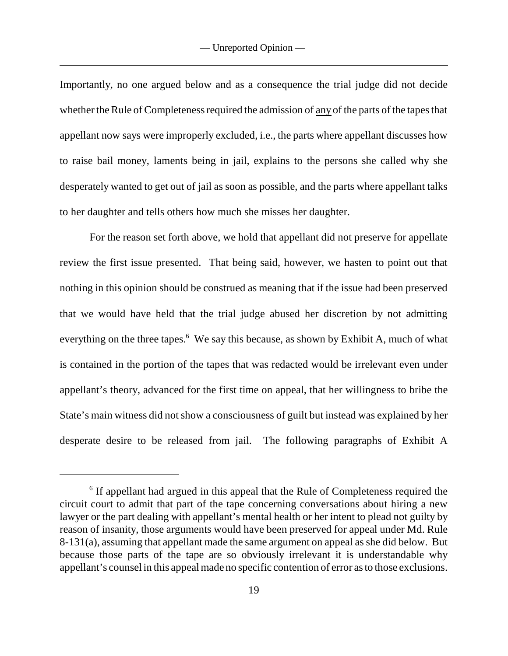Importantly, no one argued below and as a consequence the trial judge did not decide whether the Rule of Completeness required the admission of any of the parts of the tapes that appellant now says were improperly excluded, i.e., the parts where appellant discusses how to raise bail money, laments being in jail, explains to the persons she called why she desperately wanted to get out of jail as soon as possible, and the parts where appellant talks to her daughter and tells others how much she misses her daughter.

For the reason set forth above, we hold that appellant did not preserve for appellate review the first issue presented. That being said, however, we hasten to point out that nothing in this opinion should be construed as meaning that if the issue had been preserved that we would have held that the trial judge abused her discretion by not admitting everything on the three tapes.<sup> $6$ </sup> We say this because, as shown by Exhibit A, much of what is contained in the portion of the tapes that was redacted would be irrelevant even under appellant's theory, advanced for the first time on appeal, that her willingness to bribe the State's main witness did not show a consciousness of guilt but instead was explained by her desperate desire to be released from jail. The following paragraphs of Exhibit A

 $6$  If appellant had argued in this appeal that the Rule of Completeness required the circuit court to admit that part of the tape concerning conversations about hiring a new lawyer or the part dealing with appellant's mental health or her intent to plead not guilty by reason of insanity, those arguments would have been preserved for appeal under Md. Rule 8-131(a), assuming that appellant made the same argument on appeal as she did below. But because those parts of the tape are so obviously irrelevant it is understandable why appellant's counsel in this appeal made no specific contention of error as to those exclusions.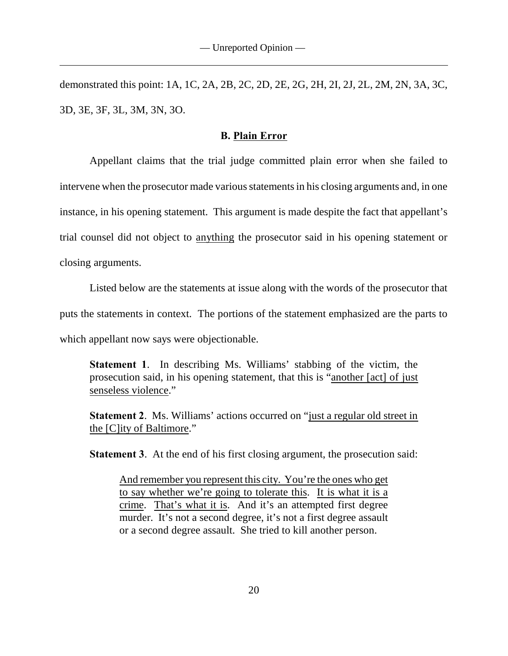demonstrated this point: 1A, 1C, 2A, 2B, 2C, 2D, 2E, 2G, 2H, 2I, 2J, 2L, 2M, 2N, 3A, 3C, 3D, 3E, 3F, 3L, 3M, 3N, 3O.

#### **B. Plain Error**

Appellant claims that the trial judge committed plain error when she failed to intervene when the prosecutor made various statements in his closing arguments and, in one instance, in his opening statement. This argument is made despite the fact that appellant's trial counsel did not object to anything the prosecutor said in his opening statement or closing arguments.

Listed below are the statements at issue along with the words of the prosecutor that puts the statements in context. The portions of the statement emphasized are the parts to which appellant now says were objectionable.

**Statement 1**. In describing Ms. Williams' stabbing of the victim, the prosecution said, in his opening statement, that this is "another [act] of just senseless violence."

**Statement 2**. Ms. Williams' actions occurred on "just a regular old street in the [C]ity of Baltimore."

**Statement 3.** At the end of his first closing argument, the prosecution said:

And remember you represent this city. You're the ones who get to say whether we're going to tolerate this. It is what it is a crime. That's what it is. And it's an attempted first degree murder. It's not a second degree, it's not a first degree assault or a second degree assault. She tried to kill another person.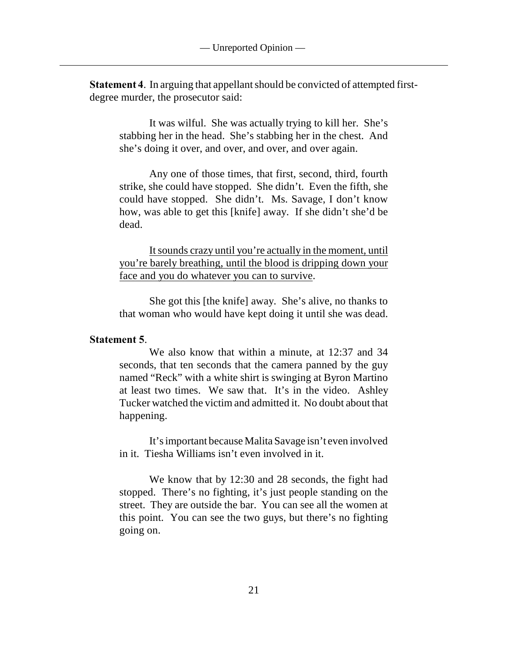**Statement 4**. In arguing that appellant should be convicted of attempted firstdegree murder, the prosecutor said:

It was wilful. She was actually trying to kill her. She's stabbing her in the head. She's stabbing her in the chest. And she's doing it over, and over, and over, and over again.

Any one of those times, that first, second, third, fourth strike, she could have stopped. She didn't. Even the fifth, she could have stopped. She didn't. Ms. Savage, I don't know how, was able to get this [knife] away. If she didn't she'd be dead.

It sounds crazy until you're actually in the moment, until you're barely breathing, until the blood is dripping down your face and you do whatever you can to survive.

She got this [the knife] away. She's alive, no thanks to that woman who would have kept doing it until she was dead.

#### **Statement 5**.

We also know that within a minute, at 12:37 and 34 seconds, that ten seconds that the camera panned by the guy named "Reck" with a white shirt is swinging at Byron Martino at least two times. We saw that. It's in the video. Ashley Tucker watched the victim and admitted it. No doubt about that happening.

It's important because Malita Savage isn't even involved in it. Tiesha Williams isn't even involved in it.

We know that by 12:30 and 28 seconds, the fight had stopped. There's no fighting, it's just people standing on the street. They are outside the bar. You can see all the women at this point. You can see the two guys, but there's no fighting going on.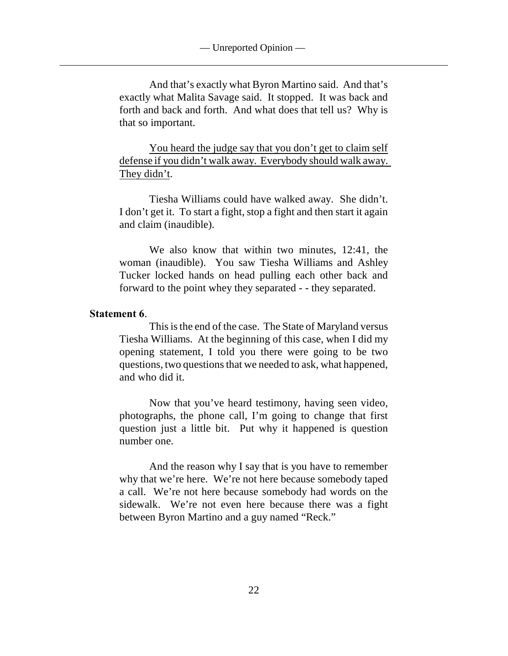And that's exactly what Byron Martino said. And that's exactly what Malita Savage said. It stopped. It was back and forth and back and forth. And what does that tell us? Why is that so important.

You heard the judge say that you don't get to claim self defense if you didn't walk away. Everybody should walk away. They didn't.

Tiesha Williams could have walked away. She didn't. I don't get it. To start a fight, stop a fight and then start it again and claim (inaudible).

We also know that within two minutes, 12:41, the woman (inaudible). You saw Tiesha Williams and Ashley Tucker locked hands on head pulling each other back and forward to the point whey they separated - - they separated.

#### **Statement 6**.

This is the end of the case. The State of Maryland versus Tiesha Williams. At the beginning of this case, when I did my opening statement, I told you there were going to be two questions, two questions that we needed to ask, what happened, and who did it.

Now that you've heard testimony, having seen video, photographs, the phone call, I'm going to change that first question just a little bit. Put why it happened is question number one.

And the reason why I say that is you have to remember why that we're here. We're not here because somebody taped a call. We're not here because somebody had words on the sidewalk. We're not even here because there was a fight between Byron Martino and a guy named "Reck."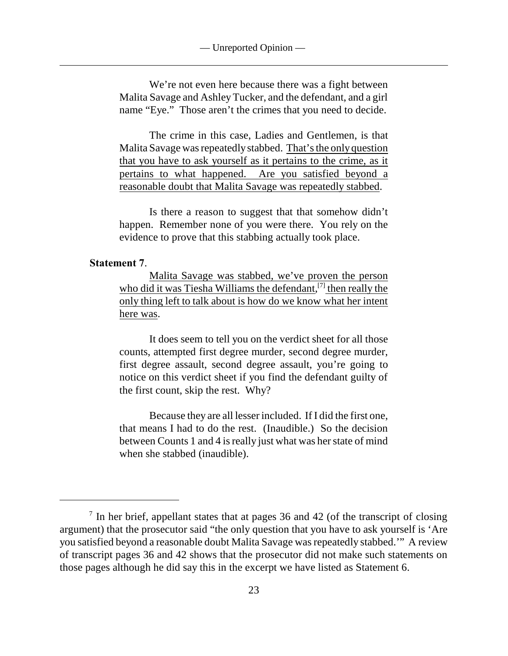— Unreported Opinion —

We're not even here because there was a fight between Malita Savage and Ashley Tucker, and the defendant, and a girl name "Eye." Those aren't the crimes that you need to decide.

The crime in this case, Ladies and Gentlemen, is that Malita Savage was repeatedly stabbed. That's the only question that you have to ask yourself as it pertains to the crime, as it pertains to what happened. Are you satisfied beyond a reasonable doubt that Malita Savage was repeatedly stabbed.

Is there a reason to suggest that that somehow didn't happen. Remember none of you were there. You rely on the evidence to prove that this stabbing actually took place.

#### **Statement 7**.

Malita Savage was stabbed, we've proven the person who did it was Tiesha Williams the defendant,  $[7]$  then really the only thing left to talk about is how do we know what her intent here was.

It does seem to tell you on the verdict sheet for all those counts, attempted first degree murder, second degree murder, first degree assault, second degree assault, you're going to notice on this verdict sheet if you find the defendant guilty of the first count, skip the rest. Why?

Because they are all lesser included. If I did the first one, that means I had to do the rest. (Inaudible.) So the decision between Counts 1 and 4 is really just what was her state of mind when she stabbed (inaudible).

 $\frac{7}{1}$  In her brief, appellant states that at pages 36 and 42 (of the transcript of closing argument) that the prosecutor said "the only question that you have to ask yourself is 'Are you satisfied beyond a reasonable doubt Malita Savage was repeatedly stabbed.'" A review of transcript pages 36 and 42 shows that the prosecutor did not make such statements on those pages although he did say this in the excerpt we have listed as Statement 6.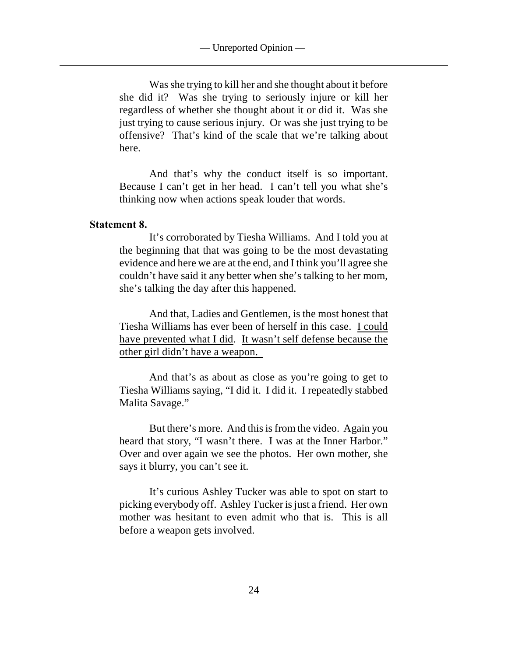— Unreported Opinion —

Was she trying to kill her and she thought about it before she did it? Was she trying to seriously injure or kill her regardless of whether she thought about it or did it. Was she just trying to cause serious injury. Or was she just trying to be offensive? That's kind of the scale that we're talking about here.

And that's why the conduct itself is so important. Because I can't get in her head. I can't tell you what she's thinking now when actions speak louder that words.

#### **Statement 8.**

It's corroborated by Tiesha Williams. And I told you at the beginning that that was going to be the most devastating evidence and here we are at the end, and I think you'll agree she couldn't have said it any better when she's talking to her mom, she's talking the day after this happened.

And that, Ladies and Gentlemen, is the most honest that Tiesha Williams has ever been of herself in this case. I could have prevented what I did. It wasn't self defense because the other girl didn't have a weapon.

And that's as about as close as you're going to get to Tiesha Williams saying, "I did it. I did it. I repeatedly stabbed Malita Savage."

But there's more. And this is from the video. Again you heard that story, "I wasn't there. I was at the Inner Harbor." Over and over again we see the photos. Her own mother, she says it blurry, you can't see it.

It's curious Ashley Tucker was able to spot on start to picking everybody off. Ashley Tucker is just a friend. Her own mother was hesitant to even admit who that is. This is all before a weapon gets involved.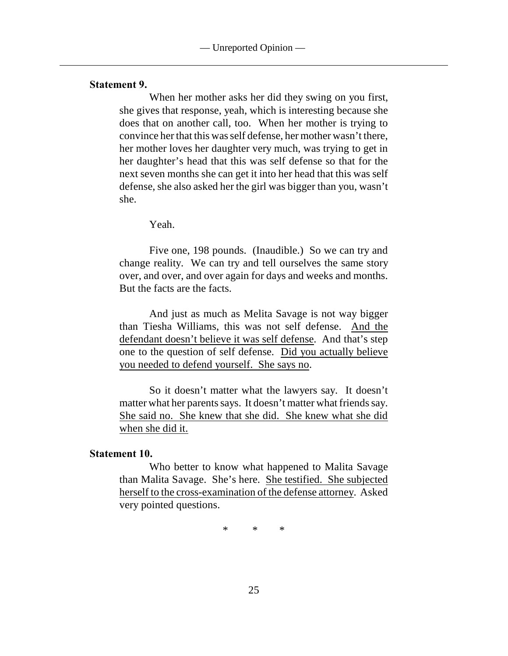#### **Statement 9.**

When her mother asks her did they swing on you first, she gives that response, yeah, which is interesting because she does that on another call, too. When her mother is trying to convince her that this was self defense, her mother wasn't there, her mother loves her daughter very much, was trying to get in her daughter's head that this was self defense so that for the next seven months she can get it into her head that this was self defense, she also asked her the girl was bigger than you, wasn't she.

Yeah.

Five one, 198 pounds. (Inaudible.) So we can try and change reality. We can try and tell ourselves the same story over, and over, and over again for days and weeks and months. But the facts are the facts.

And just as much as Melita Savage is not way bigger than Tiesha Williams, this was not self defense. And the defendant doesn't believe it was self defense. And that's step one to the question of self defense. Did you actually believe you needed to defend yourself. She says no.

So it doesn't matter what the lawyers say. It doesn't matter what her parents says. It doesn't matter what friends say. She said no. She knew that she did. She knew what she did when she did it.

#### **Statement 10.**

Who better to know what happened to Malita Savage than Malita Savage. She's here. She testified. She subjected herself to the cross-examination of the defense attorney. Asked very pointed questions.

\* \* \*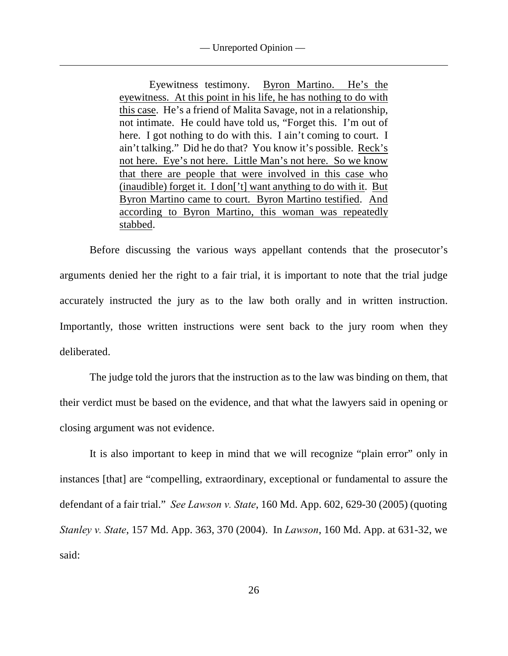— Unreported Opinion —

Eyewitness testimony. Byron Martino. He's the eyewitness. At this point in his life, he has nothing to do with this case. He's a friend of Malita Savage, not in a relationship, not intimate. He could have told us, "Forget this. I'm out of here. I got nothing to do with this. I ain't coming to court. I ain't talking." Did he do that? You know it's possible. Reck's not here. Eye's not here. Little Man's not here. So we know that there are people that were involved in this case who (inaudible) forget it. I don['t] want anything to do with it. But Byron Martino came to court. Byron Martino testified. And according to Byron Martino, this woman was repeatedly stabbed.

Before discussing the various ways appellant contends that the prosecutor's arguments denied her the right to a fair trial, it is important to note that the trial judge accurately instructed the jury as to the law both orally and in written instruction. Importantly, those written instructions were sent back to the jury room when they deliberated.

The judge told the jurors that the instruction as to the law was binding on them, that their verdict must be based on the evidence, and that what the lawyers said in opening or closing argument was not evidence.

It is also important to keep in mind that we will recognize "plain error" only in instances [that] are "compelling, extraordinary, exceptional or fundamental to assure the defendant of a fair trial." *See Lawson v. State*, 160 Md. App. 602, 629-30 (2005) (quoting *Stanley v. State*, 157 Md. App. 363, 370 (2004). In *Lawson*, 160 Md. App. at 631-32, we said: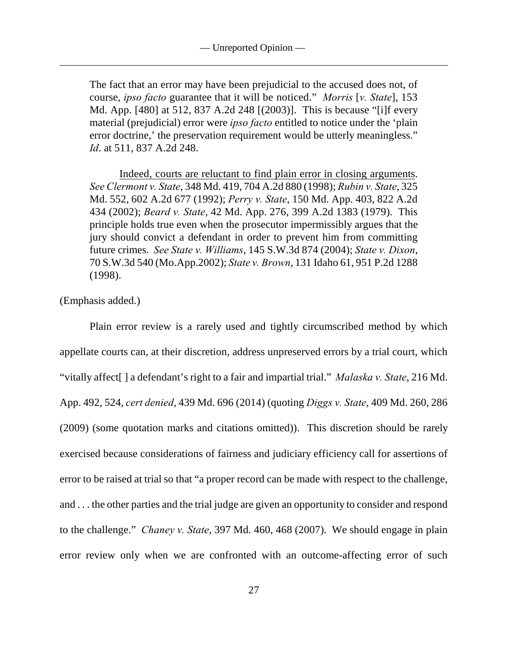The fact that an error may have been prejudicial to the accused does not, of course, *ipso facto* guarantee that it will be noticed." *Morris* [*v. State*], 153 Md. App. [480] at 512, 837 A.2d 248 [(2003)]. This is because "[i]f every material (prejudicial) error were *ipso facto* entitled to notice under the 'plain error doctrine,' the preservation requirement would be utterly meaningless." *Id*. at 511, 837 A.2d 248.

Indeed, courts are reluctant to find plain error in closing arguments. *See Clermont v. State*, 348 Md. 419, 704 A.2d 880 (1998); *Rubin v. State*, 325 Md. 552, 602 A.2d 677 (1992); *Perry v. State*, 150 Md. App. 403, 822 A.2d 434 (2002); *Beard v. State*, 42 Md. App. 276, 399 A.2d 1383 (1979). This principle holds true even when the prosecutor impermissibly argues that the jury should convict a defendant in order to prevent him from committing future crimes. *See State v. Williams*, 145 S.W.3d 874 (2004); *State v. Dixon*, 70 S.W.3d 540 (Mo.App.2002); *State v. Brown*, 131 Idaho 61, 951 P.2d 1288 (1998).

## (Emphasis added.)

Plain error review is a rarely used and tightly circumscribed method by which appellate courts can, at their discretion, address unpreserved errors by a trial court, which "vitally affect[ ] a defendant's right to a fair and impartial trial." *Malaska v. State*, 216 Md. App. 492, 524, *cert denied*, 439 Md. 696 (2014) (quoting *Diggs v. State*, 409 Md. 260, 286 (2009) (some quotation marks and citations omitted)). This discretion should be rarely exercised because considerations of fairness and judiciary efficiency call for assertions of error to be raised at trial so that "a proper record can be made with respect to the challenge, and . . . the other parties and the trial judge are given an opportunity to consider and respond to the challenge." *Chaney v. State*, 397 Md. 460, 468 (2007). We should engage in plain error review only when we are confronted with an outcome-affecting error of such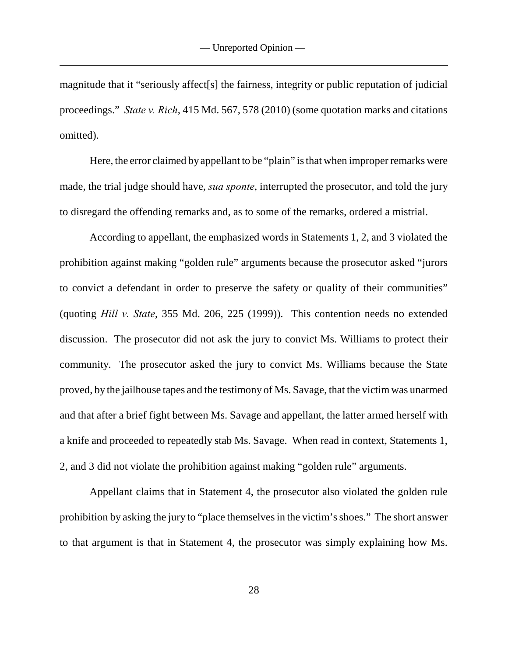magnitude that it "seriously affect[s] the fairness, integrity or public reputation of judicial proceedings." *State v. Rich*, 415 Md. 567, 578 (2010) (some quotation marks and citations omitted).

Here, the error claimed by appellant to be "plain" is that when improper remarks were made, the trial judge should have, *sua sponte*, interrupted the prosecutor, and told the jury to disregard the offending remarks and, as to some of the remarks, ordered a mistrial.

According to appellant, the emphasized words in Statements 1, 2, and 3 violated the prohibition against making "golden rule" arguments because the prosecutor asked "jurors to convict a defendant in order to preserve the safety or quality of their communities" (quoting *Hill v. State*, 355 Md. 206, 225 (1999)). This contention needs no extended discussion. The prosecutor did not ask the jury to convict Ms. Williams to protect their community. The prosecutor asked the jury to convict Ms. Williams because the State proved, by the jailhouse tapes and the testimony of Ms. Savage, that the victim was unarmed and that after a brief fight between Ms. Savage and appellant, the latter armed herself with a knife and proceeded to repeatedly stab Ms. Savage. When read in context, Statements 1, 2, and 3 did not violate the prohibition against making "golden rule" arguments.

Appellant claims that in Statement 4, the prosecutor also violated the golden rule prohibition by asking the jury to "place themselves in the victim's shoes." The short answer to that argument is that in Statement 4, the prosecutor was simply explaining how Ms.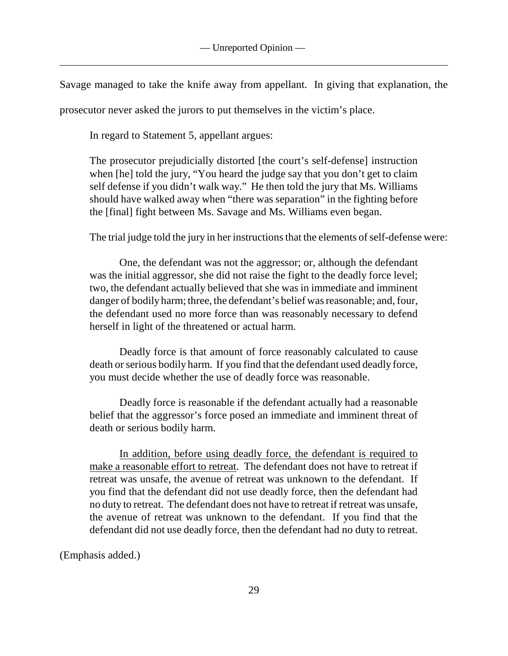Savage managed to take the knife away from appellant. In giving that explanation, the

prosecutor never asked the jurors to put themselves in the victim's place.

In regard to Statement 5, appellant argues:

The prosecutor prejudicially distorted [the court's self-defense] instruction when [he] told the jury, "You heard the judge say that you don't get to claim self defense if you didn't walk way." He then told the jury that Ms. Williams should have walked away when "there was separation" in the fighting before the [final] fight between Ms. Savage and Ms. Williams even began.

The trial judge told the jury in her instructions that the elements of self-defense were:

One, the defendant was not the aggressor; or, although the defendant was the initial aggressor, she did not raise the fight to the deadly force level; two, the defendant actually believed that she was in immediate and imminent danger of bodily harm; three, the defendant's belief was reasonable; and, four, the defendant used no more force than was reasonably necessary to defend herself in light of the threatened or actual harm.

Deadly force is that amount of force reasonably calculated to cause death or serious bodily harm. If you find that the defendant used deadly force, you must decide whether the use of deadly force was reasonable.

Deadly force is reasonable if the defendant actually had a reasonable belief that the aggressor's force posed an immediate and imminent threat of death or serious bodily harm.

In addition, before using deadly force, the defendant is required to make a reasonable effort to retreat. The defendant does not have to retreat if retreat was unsafe, the avenue of retreat was unknown to the defendant. If you find that the defendant did not use deadly force, then the defendant had no duty to retreat. The defendant does not have to retreat if retreat was unsafe, the avenue of retreat was unknown to the defendant. If you find that the defendant did not use deadly force, then the defendant had no duty to retreat.

(Emphasis added.)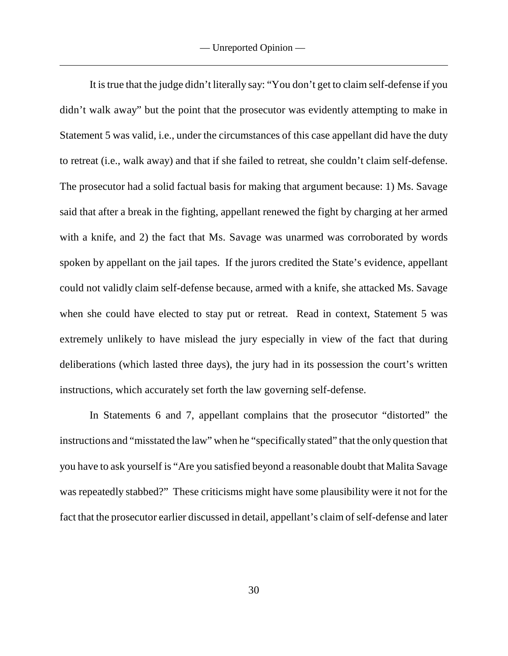It is true that the judge didn't literally say: "You don't get to claim self-defense if you didn't walk away" but the point that the prosecutor was evidently attempting to make in Statement 5 was valid, i.e., under the circumstances of this case appellant did have the duty to retreat (i.e., walk away) and that if she failed to retreat, she couldn't claim self-defense. The prosecutor had a solid factual basis for making that argument because: 1) Ms. Savage said that after a break in the fighting, appellant renewed the fight by charging at her armed with a knife, and 2) the fact that Ms. Savage was unarmed was corroborated by words spoken by appellant on the jail tapes. If the jurors credited the State's evidence, appellant could not validly claim self-defense because, armed with a knife, she attacked Ms. Savage when she could have elected to stay put or retreat. Read in context, Statement 5 was extremely unlikely to have mislead the jury especially in view of the fact that during deliberations (which lasted three days), the jury had in its possession the court's written instructions, which accurately set forth the law governing self-defense.

In Statements 6 and 7, appellant complains that the prosecutor "distorted" the instructions and "misstated the law" when he "specifically stated" that the only question that you have to ask yourself is "Are you satisfied beyond a reasonable doubt that Malita Savage was repeatedly stabbed?" These criticisms might have some plausibility were it not for the fact that the prosecutor earlier discussed in detail, appellant's claim of self-defense and later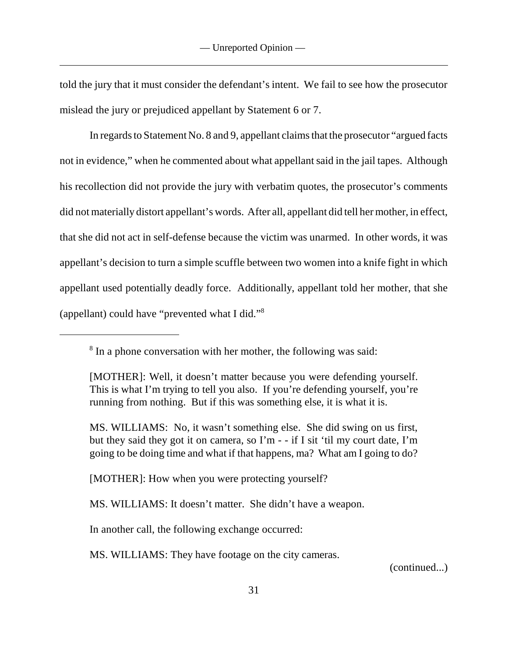told the jury that it must consider the defendant's intent. We fail to see how the prosecutor mislead the jury or prejudiced appellant by Statement 6 or 7.

In regards to Statement No. 8 and 9, appellant claims that the prosecutor "argued facts not in evidence," when he commented about what appellant said in the jail tapes. Although his recollection did not provide the jury with verbatim quotes, the prosecutor's comments did not materially distort appellant's words. After all, appellant did tell her mother, in effect, that she did not act in self-defense because the victim was unarmed. In other words, it was appellant's decision to turn a simple scuffle between two women into a knife fight in which appellant used potentially deadly force. Additionally, appellant told her mother, that she (appellant) could have "prevented what I did."<sup>8</sup>

[MOTHER]: How when you were protecting yourself?

MS. WILLIAMS: It doesn't matter. She didn't have a weapon.

In another call, the following exchange occurred:

MS. WILLIAMS: They have footage on the city cameras.

(continued...)

 $8$  In a phone conversation with her mother, the following was said:

<sup>[</sup>MOTHER]: Well, it doesn't matter because you were defending yourself. This is what I'm trying to tell you also. If you're defending yourself, you're running from nothing. But if this was something else, it is what it is.

MS. WILLIAMS: No, it wasn't something else. She did swing on us first, but they said they got it on camera, so I'm - - if I sit 'til my court date, I'm going to be doing time and what if that happens, ma? What am I going to do?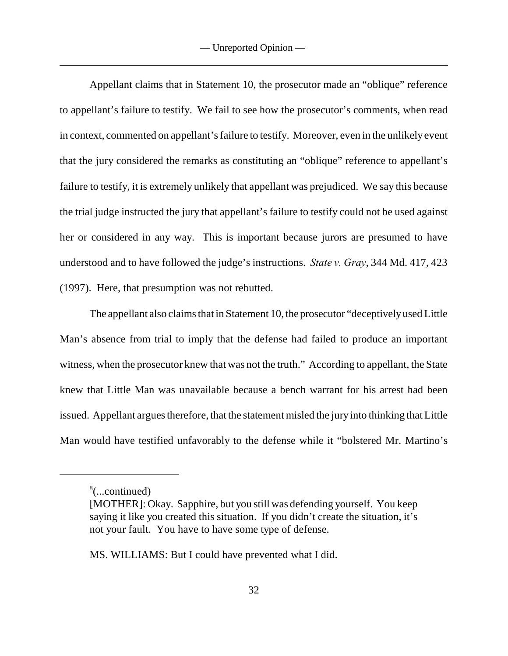Appellant claims that in Statement 10, the prosecutor made an "oblique" reference to appellant's failure to testify. We fail to see how the prosecutor's comments, when read in context, commented on appellant's failure to testify. Moreover, even in the unlikely event that the jury considered the remarks as constituting an "oblique" reference to appellant's failure to testify, it is extremely unlikely that appellant was prejudiced. We say this because the trial judge instructed the jury that appellant's failure to testify could not be used against her or considered in any way. This is important because jurors are presumed to have understood and to have followed the judge's instructions. *State v. Gray*, 344 Md. 417, 423 (1997). Here, that presumption was not rebutted.

The appellant also claims that in Statement 10, the prosecutor "deceptively used Little Man's absence from trial to imply that the defense had failed to produce an important witness, when the prosecutor knew that was not the truth." According to appellant, the State knew that Little Man was unavailable because a bench warrant for his arrest had been issued. Appellant argues therefore, that the statement misled the jury into thinking that Little Man would have testified unfavorably to the defense while it "bolstered Mr. Martino's

MS. WILLIAMS: But I could have prevented what I did.

 $\delta$ (...continued)

<sup>[</sup>MOTHER]: Okay. Sapphire, but you still was defending yourself. You keep saying it like you created this situation. If you didn't create the situation, it's not your fault. You have to have some type of defense.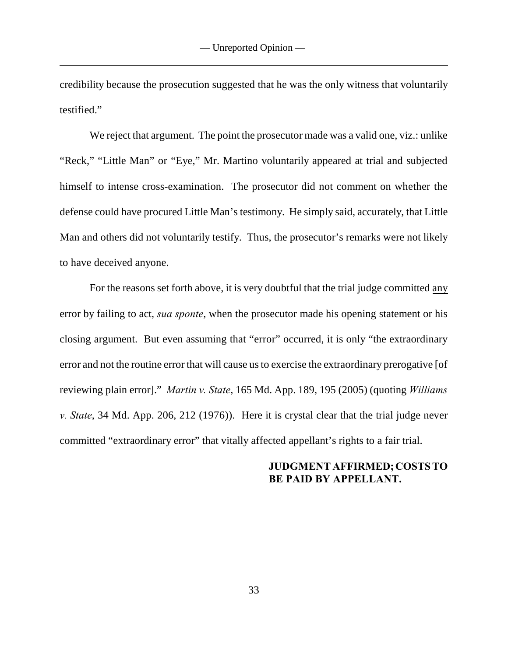credibility because the prosecution suggested that he was the only witness that voluntarily testified."

We reject that argument. The point the prosecutor made was a valid one, viz.: unlike "Reck," "Little Man" or "Eye," Mr. Martino voluntarily appeared at trial and subjected himself to intense cross-examination. The prosecutor did not comment on whether the defense could have procured Little Man's testimony. He simply said, accurately, that Little Man and others did not voluntarily testify. Thus, the prosecutor's remarks were not likely to have deceived anyone.

For the reasons set forth above, it is very doubtful that the trial judge committed any error by failing to act, *sua sponte*, when the prosecutor made his opening statement or his closing argument. But even assuming that "error" occurred, it is only "the extraordinary error and not the routine error that will cause us to exercise the extraordinary prerogative [of reviewing plain error]." *Martin v. State*, 165 Md. App. 189, 195 (2005) (quoting *Williams v. State*, 34 Md. App. 206, 212 (1976)). Here it is crystal clear that the trial judge never committed "extraordinary error" that vitally affected appellant's rights to a fair trial.

# **JUDGMENT AFFIRMED; COSTS TO BE PAID BY APPELLANT.**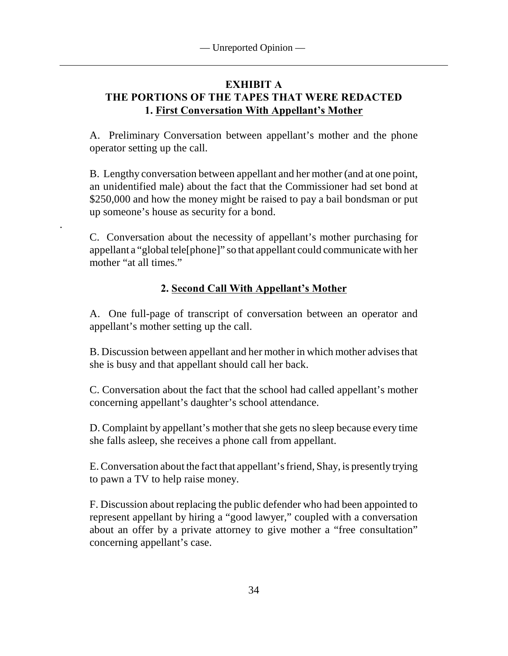# **EXHIBIT A THE PORTIONS OF THE TAPES THAT WERE REDACTED 1. First Conversation With Appellant's Mother**

A. Preliminary Conversation between appellant's mother and the phone operator setting up the call.

B. Lengthy conversation between appellant and her mother (and at one point, an unidentified male) about the fact that the Commissioner had set bond at \$250,000 and how the money might be raised to pay a bail bondsman or put up someone's house as security for a bond.

C. Conversation about the necessity of appellant's mother purchasing for appellant a "global tele[phone]" so that appellant could communicate with her mother "at all times."

.

# **2. Second Call With Appellant's Mother**

A. One full-page of transcript of conversation between an operator and appellant's mother setting up the call.

B. Discussion between appellant and her mother in which mother advises that she is busy and that appellant should call her back.

C. Conversation about the fact that the school had called appellant's mother concerning appellant's daughter's school attendance.

D. Complaint by appellant's mother that she gets no sleep because every time she falls asleep, she receives a phone call from appellant.

E. Conversation about the fact that appellant's friend, Shay, is presently trying to pawn a TV to help raise money.

F. Discussion about replacing the public defender who had been appointed to represent appellant by hiring a "good lawyer," coupled with a conversation about an offer by a private attorney to give mother a "free consultation" concerning appellant's case.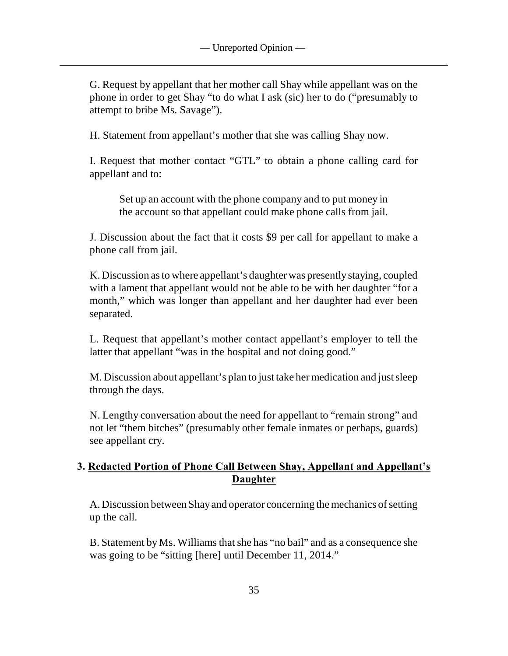G. Request by appellant that her mother call Shay while appellant was on the phone in order to get Shay "to do what I ask (sic) her to do ("presumably to attempt to bribe Ms. Savage").

H. Statement from appellant's mother that she was calling Shay now.

I. Request that mother contact "GTL" to obtain a phone calling card for appellant and to:

Set up an account with the phone company and to put money in the account so that appellant could make phone calls from jail.

J. Discussion about the fact that it costs \$9 per call for appellant to make a phone call from jail.

K. Discussion as to where appellant's daughter was presently staying, coupled with a lament that appellant would not be able to be with her daughter "for a month," which was longer than appellant and her daughter had ever been separated.

L. Request that appellant's mother contact appellant's employer to tell the latter that appellant "was in the hospital and not doing good."

M. Discussion about appellant's plan to just take her medication and just sleep through the days.

N. Lengthy conversation about the need for appellant to "remain strong" and not let "them bitches" (presumably other female inmates or perhaps, guards) see appellant cry.

# **3. Redacted Portion of Phone Call Between Shay, Appellant and Appellant's Daughter**

A. Discussion between Shay and operator concerning the mechanics of setting up the call.

B. Statement by Ms. Williams that she has "no bail" and as a consequence she was going to be "sitting [here] until December 11, 2014."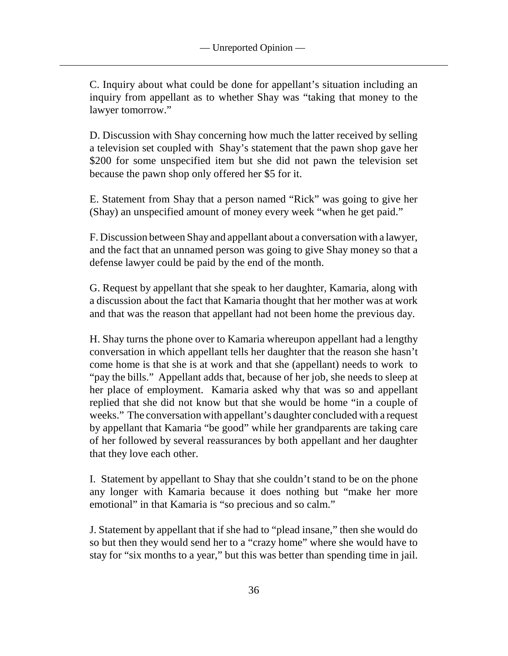C. Inquiry about what could be done for appellant's situation including an inquiry from appellant as to whether Shay was "taking that money to the lawyer tomorrow."

D. Discussion with Shay concerning how much the latter received by selling a television set coupled with Shay's statement that the pawn shop gave her \$200 for some unspecified item but she did not pawn the television set because the pawn shop only offered her \$5 for it.

E. Statement from Shay that a person named "Rick" was going to give her (Shay) an unspecified amount of money every week "when he get paid."

F. Discussion between Shay and appellant about a conversation with a lawyer, and the fact that an unnamed person was going to give Shay money so that a defense lawyer could be paid by the end of the month.

G. Request by appellant that she speak to her daughter, Kamaria, along with a discussion about the fact that Kamaria thought that her mother was at work and that was the reason that appellant had not been home the previous day.

H. Shay turns the phone over to Kamaria whereupon appellant had a lengthy conversation in which appellant tells her daughter that the reason she hasn't come home is that she is at work and that she (appellant) needs to work to "pay the bills." Appellant adds that, because of her job, she needs to sleep at her place of employment. Kamaria asked why that was so and appellant replied that she did not know but that she would be home "in a couple of weeks." The conversation with appellant's daughter concluded with a request by appellant that Kamaria "be good" while her grandparents are taking care of her followed by several reassurances by both appellant and her daughter that they love each other.

I. Statement by appellant to Shay that she couldn't stand to be on the phone any longer with Kamaria because it does nothing but "make her more emotional" in that Kamaria is "so precious and so calm."

J. Statement by appellant that if she had to "plead insane," then she would do so but then they would send her to a "crazy home" where she would have to stay for "six months to a year," but this was better than spending time in jail.